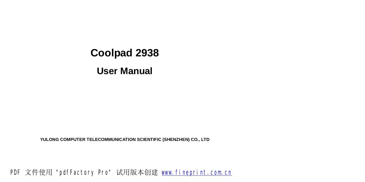**YULONG COMPUTER TELECOMMUNICATION SCIENTIFIC (SHENZHEN) CO., LTD**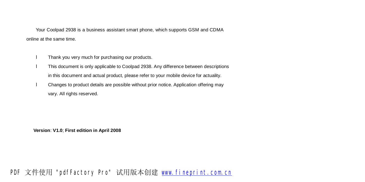Your Coolpad 2938 is a business assistant smart phone, which supports GSM and CDMA online at the same time.

- l Thank you very much for purchasing our products.
- l This document is only applicable to Coolpad 2938. Any difference between descriptions in this document and actual product, please refer to your mobile device for actuality.
- l Changes to product details are possible without prior notice. Application offering may vary. All rights reserved.

**Version**: **V1.0**; **First edition in April 2008**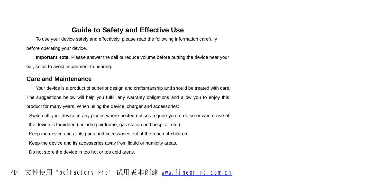#### **Guide to Safety and Effective Use**

To use your device safely and effectively, please read the following information carefully before operating your device.

**Important note:** Please answer the call or reduce volume before putting the device near your ear, so as to avoid impairment to hearing.

#### **Care and Maintenance**

Your device is a product of superior design and craftsmanship and should be treated with care. The suggestions below will help you fulfill any warranty obligations and allow you to enjoy this product for many years. When using the device, charger and accessories:

· Switch off your device in any places where posted notices require you to do so or where use of

the device is forbidden (including airdrome, gas station and hospital, etc.)

- · Keep the device and all its parts and accessories out of the reach of children.
- · Keep the device and its accessories away from liquid or humidity areas.

· Do not store the device in too hot or too cold areas.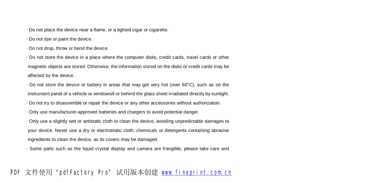$\cdot$  Do not place the device near a flame, or a lighted cigar or cigarette.

· Do not dye or paint the device.

· Do not drop, throw or bend the device.

· Do not store the device in a place where the computer disks, credit cards, travel cards or other magnetic objects are stored. Otherwise, the information stored on the disks or credit cards may be affected by the device.

 $\cdot$  Do not store the device or battery in areas that may get very hot (over 60 $\degree$ C), such as on the instrument panel of a vehicle or windowsill or behind the glass sheet irradiated directly by sunlight.

· Do not try to disassemble or repair the device or any other accessories without authorization.

· Only use manufacturer-approved batteries and chargers to avoid potential danger.

· Only use a slightly wet or antistatic cloth to clean the device, avoiding unpredictable damages to your device. Never use a dry or electrostatic cloth, chemicals or detergents containing abrasive ingredients to clean the device, as its covers may be damaged.

· Some parts such as the liquid crystal display and camera are frangible, please take care and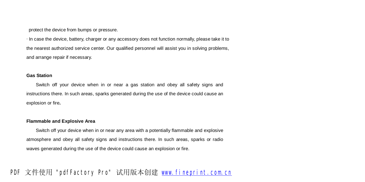protect the device from bumps or pressure.

· In case the device, battery, charger or any accessory does not function normally, please take it to the nearest authorized service center. Our qualified personnel will assist you in solving problems, and arrange repair if necessary.

#### **Gas Station**

Switch off your device when in or near a gas station and obey all safety signs and instructions there. In such areas, sparks generated during the use of the device could cause an explosion or fire**.**

#### **Flammable and Explosive Area**

Switch off your device when in or near any area with a potentially flammable and explosive atmosphere and obey all safety signs and instructions there. In such areas, sparks or radio waves generated during the use of the device could cause an explosion or fire.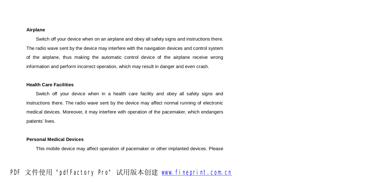#### **Airplane**

Switch off your device when on an airplane and obey all safety signs and instructions there. The radio wave sent by the device may interfere with the navigation devices and control system of the airplane, thus making the automatic control device of the airplane receive wrong information and perform incorrect operation, which may result in danger and even crash.

#### **Health Care Facilities**

Switch off your device when in a health care facility and obey all safety signs and instructions there. The radio wave sent by the device may affect normal running of electronic medical devices. Moreover, it may interfere with operation of the pacemaker, which endangers patients' lives.

#### **Personal Medical Devices**

This mobile device may affect operation of pacemaker or other implanted devices. Please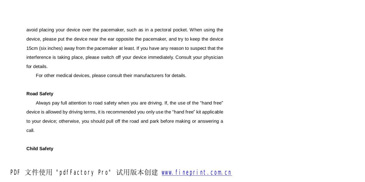avoid placing your device over the pacemaker, such as in a pectoral pocket. When using the device, please put the device near the ear opposite the pacemaker, and try to keep the device 15cm (six inches) away from the pacemaker at least. If you have any reason to suspect that the interference is taking place, please switch off your device immediately. Consult your physician for details.

For other medical devices, please consult their manufacturers for details.

#### **Road Safety**

Always pay full attention to road safety when you are driving. If, the use of the "hand free" device is allowed by driving terms, it is recommended you only use the "hand free" kit applicable to your device; otherwise, you should pull off the road and park before making or answering a call.

#### **Child Safety**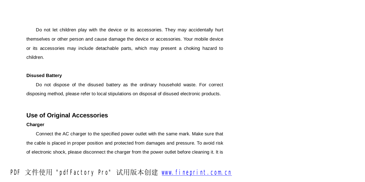Do not let children play with the device or its accessories. They may accidentally hurt themselves or other person and cause damage the device or accessories. Your mobile device or its accessories may include detachable parts, which may present a choking hazard to children.

#### **Disused Battery**

Do not dispose of the disused battery as the ordinary household waste. For correct disposing method, please refer to local stipulations on disposal of disused electronic products.

#### **Use of Original Accessories**

#### **Charger**

Connect the AC charger to the specified power outlet with the same mark. Make sure that the cable is placed in proper position and protected from damages and pressure. To avoid risk of electronic shock, please disconnect the charger from the power outlet before cleaning it. It is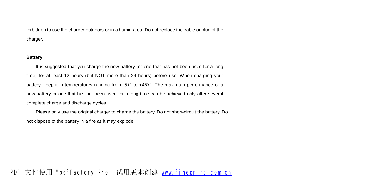forbidden to use the charger outdoors or in a humid area. Do not replace the cable or plug of the charger.

#### **Battery**

It is suggested that you charge the new battery (or one that has not been used for a long time) for at least 12 hours (but NOT more than 24 hours) before use. When charging your battery, keep it in temperatures ranging from -5℃ to +45℃. The maximum performance of a new battery or one that has not been used for a long time can be achieved only after several complete charge and discharge cycles.

Please only use the original charger to charge the battery. Do not short-circuit the battery. Do not dispose of the battery in a fire as it may explode.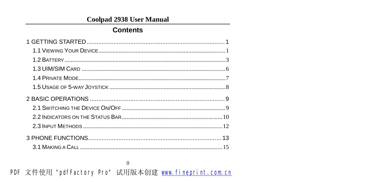## **Contents**

 $\overline{0}$ **FLF** 文件使用 "pdfFactory Pro" 试用版本创建 wwfireprint.comon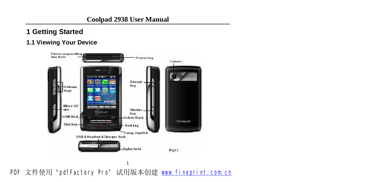## **1 Getting Started**

#### **1.1 Viewing Your Device**

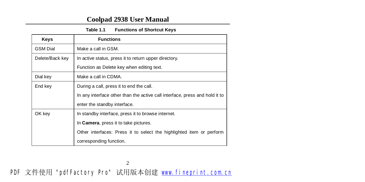| Table 1.1 | <b>Functions of Shortcut Keys</b> |  |
|-----------|-----------------------------------|--|
|-----------|-----------------------------------|--|

| <b>Keys</b>     | <b>Functions</b>                                                            |
|-----------------|-----------------------------------------------------------------------------|
| <b>GSM Dial</b> | Make a call in GSM.                                                         |
| Delete/Back key | In active status, press it to return upper directory.                       |
|                 | Function as Delete key when editing text.                                   |
| Dial key        | Make a call in CDMA.                                                        |
| End key         | During a call, press it to end the call.                                    |
|                 | In any interface other than the active call interface, press and hold it to |
|                 | enter the standby interface.                                                |
| OK key          | In standby interface, press it to browse internet.                          |
|                 | In Camera, press it to take pictures.                                       |
|                 | Other interfaces: Press it to select the highlighted item or perform        |
|                 | corresponding function.                                                     |

**FDF** 文件使用 "pdfFactory Pro" 试用版本创建 **wwfineprint.comm** 

2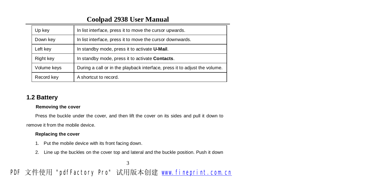| Up key      | In list interface, press it to move the cursor upwards.                    |
|-------------|----------------------------------------------------------------------------|
| Down key    | In list interface, press it to move the cursor downwards.                  |
| Left key    | In standby mode, press it to activate U-Mail.                              |
| Right key   | In standby mode, press it to activate Contacts.                            |
| Volume keys | During a call or in the playback interface, press it to adjust the volume. |
| Record key  | A shortcut to record.                                                      |

#### **1.2 Battery**

#### **Removing the cover**

Press the buckle under the cover, and then lift the cover on its sides and pull it down to

remove it from the mobile device.

#### **Replacing the cover**

1. Put the mobile device with its front facing down.

3

2. Line up the buckles on the cover top and lateral and the buckle position. Push it down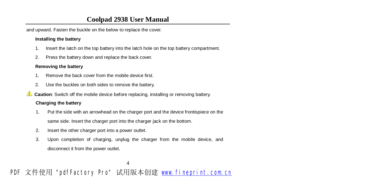and upward. Fasten the buckle on the below to replace the cover.

#### **Installing the battery**

- 1. Insert the latch on the top battery into the latch hole on the top battery compartment.
- 2. Press the battery down and replace the back cover.

#### **Removing the battery**

- 1. Remove the back cover from the mobile device first.
- 2. Use the buckles on both sides to remove the battery.
- **Caution**: Switch off the mobile device before replacing, installing or removing battery.

#### **Charging the battery**

- 1. Put the side with an arrowhead on the charger port and the device frontispiece on the same side. Insert the charger port into the charger jack on the bottom.
- 2. Insert the other charger port into a power outlet.
- 3. Upon completion of charging, unplug the charger from the mobile device, and disconnect it from the power outlet.

4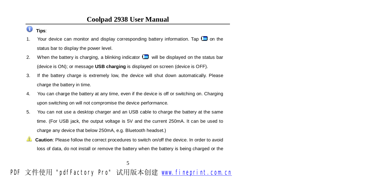#### $\bullet$ **Tips**:

- 1. Your device can monitor and display corresponding battery information. Tap  $\Box$  on the status bar to display the power level.
- 2. When the battery is charging, a blinking indicator  $\Box$  will be displayed on the status bar (device is ON); or message **USB charging** is displayed on screen (device is OFF).
- 3. If the battery charge is extremely low, the device will shut down automatically. Please charge the battery in time.
- 4. You can charge the battery at any time, even if the device is off or switching on. Charging upon switching on will not compromise the device performance.
- 5. You can not use a desktop charger and an USB cable to charge the battery at the same time. (For USB jack, the output voltage is 5V and the current 250mA. It can be used to charge any device that below 250mA, e.g. Bluetooth headset.)
- **Caution**: Please follow the correct procedures to switch on/off the device. In order to avoid loss of data, do not install or remove the battery when the battery is being charged or the

5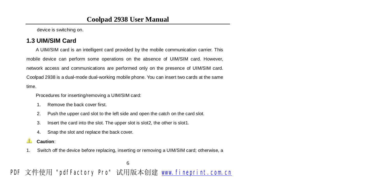device is switching on.

#### **1.3 UIM/SIM Card**

A UIM/SIM card is an intelligent card provided by the mobile communication carrier. This mobile device can perform some operations on the absence of UIM/SIM card. However, network access and communications are performed only on the presence of UIM/SIM card. Coolpad 2938 is a dual-mode dual-working mobile phone. You can insert two cards at the same time.

Procedures for inserting/removing a UIM/SIM card:

- 1. Remove the back cover first.
- 2. Push the upper card slot to the left side and open the catch on the card slot.
- 3. Insert the card into the slot. The upper slot is slot2, the other is slot1.
- 4. Snap the slot and replace the back cover.

#### ⚠ **Caution**:

1. Switch off the device before replacing, inserting or removing a UIM/SIM card; otherwise, a

 $\sim$  6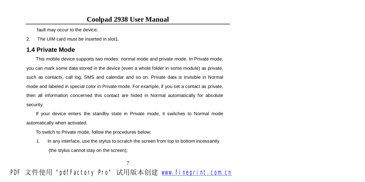fault may occur to the device;

2. The UIM card must be inserted in slot1.

#### **1.4 Private Mode**

This mobile device supports two modes: normal mode and private mode. In Private mode, you can mark some data stored in the device (even a whole folder in some module) as private, such as contacts, call log, SMS and calendar and so on. Private data is invisible in Normal mode and labeled in special color in Private mode. For example, if you set a contact as private, then all information concerned this contact are hided in Normal automatically for absolute security.

If your device enters the standby state in Private mode, it switches to Normal mode automatically when activated.

To switch to Private mode, follow the procedures below:

1. In any interface, use the stylus to scratch the screen from top to bottom incessantly (the stylus cannot stay on the screen);

7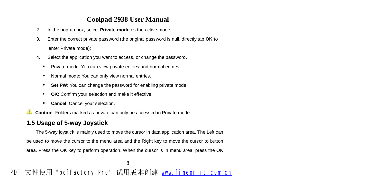- 2. In the pop-up box, select **Private mode** as the active mode;
- 3. Enter the correct private password (the original password is null, directly tap **OK** to enter Private mode);
- 4. Select the application you want to access, or change the password.
	- Private mode: You can view private entries and normal entries.
	- Normal mode: You can only view normal entries.
	- **Set PW**: You can change the password for enabling private mode.
	- **OK:** Confirm your selection and make it effective.
	- **Cancel**: Cancel your selection.

▲ **Caution**: Folders marked as private can only be accessed in Private mode.

#### **1.5 Usage of 5-way Joystick**

The 5-way joystick is mainly used to move the cursor in data application area. The Left can be used to move the cursor to the menu area and the Right key to move the cursor to button area. Press the OK key to perform operation. When the cursor is in menu area, press the OK

8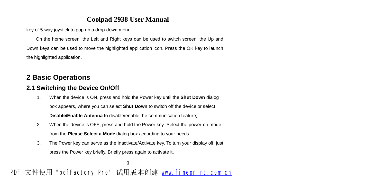key of 5-way joystick to pop up a drop-down menu.

On the home screen, the Left and Right keys can be used to switch screen; the Up and Down keys can be used to move the highlighted application icon. Press the OK key to launch the highlighted application.

## **2 Basic Operations**

#### **2.1 Switching the Device On/Off**

- 1. When the device is ON, press and hold the Power key until the **Shut Down** dialog box appears, where you can select **Shut Down** to switch off the device or select **Disable/Enable Antenna** to disable/enable the communication feature;
- 2. When the device is OFF, press and hold the Power key. Select the power-on mode from the **Please Select a Mode** dialog box according to your needs.
- 3. The Power key can serve as the Inactivate/Activate key. To turn your display off, just press the Power key briefly. Briefly press again to activate it.

9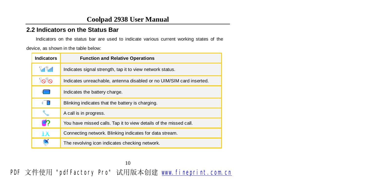#### **2.2 Indicators on the Status Bar**

Indicators on the status bar are used to indicate various current working states of the

device, as shown in the table below:

| <b>Indicators</b>                | <b>Function and Relative Operations</b>                              |
|----------------------------------|----------------------------------------------------------------------|
| <sup>C</sup> al <sup>C</sup> all | Indicates signal strength, tap it to view network status.            |
| ိုလ္ပါလ                          | Indicates unreachable, antenna disabled or no UIM/SIM card inserted. |
|                                  | Indicates the battery charge.                                        |
| a m                              | Blinking indicates that the battery is charging.                     |
|                                  | A call is in progress.                                               |
| Q?                               | You have missed calls. Tap it to view details of the missed call.    |
| 1X                               | Connecting network. Blinking indicates for data stream.              |
|                                  | The revolving icon indicates checking network.                       |

10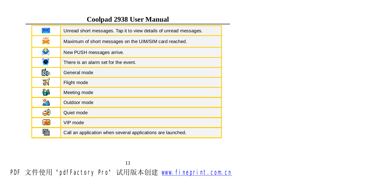| ✕     | Unread short messages. Tap it to view details of unread messages. |
|-------|-------------------------------------------------------------------|
| ⋇     | Maximum of short messages on the UIM/SIM card reached.            |
| չ     | New PUSH messages arrive.                                         |
| ۰     | There is an alarm set for the event.                              |
| r.    | General mode                                                      |
| 剢     | Flight mode                                                       |
| န္႔   | Meeting mode                                                      |
| m     | Outdoor mode                                                      |
| 60    | Quiet mode                                                        |
| lviel | VIP mode                                                          |
|       | Call an application when several applications are launched.       |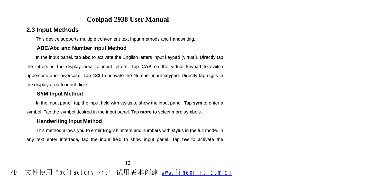#### **2.3 Input Methods**

This device supports multiple convenient text input methods and handwriting.

#### **ABC/Abc and Number Input Method**

In the input panel, tap **abc** to activate the English letters input keypad (virtual). Directly tap the letters in the display area to input letters. Tap **CAP** on the virtual keypad to switch uppercase and lowercase. Tap **123** to activate the Number input keypad. Directly tap digits in the display area to input digits.

#### **SYM Input Method**

In the input panel, tap the input field with stylus to show the input panel. Tap **sym** to enter a symbol. Tap the symbol desired in the input panel. Tap **more** to select more symbols.

#### **Handwriting Input Method**

This method allows you to enter English letters and numbers with stylus in the full mode. In any text enter interface, tap the input field to show input panel. Tap **hw** to activate the

12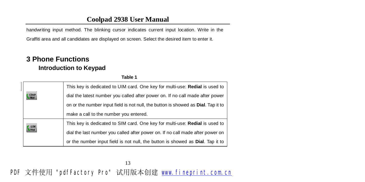handwriting input method. The blinking cursor indicates current input location. Write in the

Graffiti area and all candidates are displayed on screen. Select the desired item to enter it.

## **3 Phone Functions Introduction to Keypad**

**Table 1** 

| <b>CDM</b>               | This key is dedicated to UIM card. One key for multi-use: <b>Redial</b> is used to        |
|--------------------------|-------------------------------------------------------------------------------------------|
|                          | dial the latest number you called after power on. If no call made after power             |
|                          | on or the number input field is not null, the button is showed as <b>Dial</b> . Tap it to |
|                          | make a call to the number you entered.                                                    |
| <b>QSM</b><br><b>DIM</b> | This key is dedicated to SIM card. One key for multi-use: Redial is used to               |
|                          | dial the last number you called after power on. If no call made after power on            |
|                          | or the number input field is not null, the button is showed as <b>Dial</b> . Tap it to    |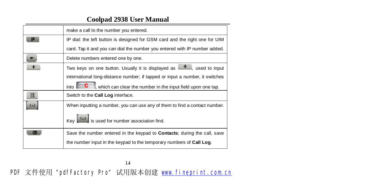|     | make a call to the number you entered.                                               |
|-----|--------------------------------------------------------------------------------------|
|     | IP dial: the left button is designed for GSM card and the right one for UIM          |
|     | card. Tap it and you can dial the number you entered with IP number added.           |
|     | Delete numbers entered one by one.                                                   |
|     | Two keys on one button. Usually it is displayed as $\Box$ , used to input            |
|     | international long-distance number; if tapped or input a number, it switches         |
|     | into $\Box$ C<br>which can clear the number in the input field upon one tap.         |
| 註   | Switch to the Call Log interface.                                                    |
| 1.3 | When inputting a number, you can use any of them to find a contact number.           |
|     | $Key$ $\begin{bmatrix} 123 \\ 15 \end{bmatrix}$ is used for number association find. |
|     | Save the number entered in the keypad to <b>Contacts</b> ; during the call, save     |
|     | the number input in the keypad to the temporary numbers of Call Log.                 |
|     |                                                                                      |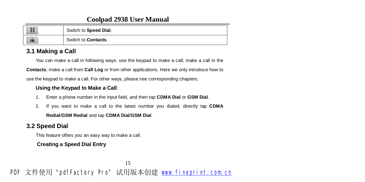| H                             | Switch to Speed Dial.       |
|-------------------------------|-----------------------------|
| $\overline{\phantom{0}}$<br>這 | Switch to <b>Contacts</b> . |

#### **3.1 Making a Call**

You can make a call in following ways: use the keypad to make a call; make a call in the

**Contacts**; make a call from **Call Log** or from other applications. Here we only introduce how to

use the keypad to make a call. For other ways, please see corresponding chapters.

#### **Using the Keypad to Make a Call**:

- 1. Enter a phone number in the input field, and then tap **CDMA Dial** or **GSM Dial**.
- 2. If you want to make a call to the latest number you dialed, directly tap **CDMA**

#### **Redial**/**GSM Redial** and tap **CDMA Dial**/**GSM Dial**.

## **3.2 Speed Dial**

This feature offers you an easy way to make a call.

#### **Creating a Speed Dial Entry**

15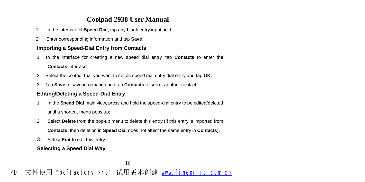- 1. In the interface of **Speed Dial**, tap any blank entry input field.
- 2. Enter corresponding information and tap **Save**.

#### **Importing a Speed-Dial Entry from Contacts**

1. In the interface for creating a new speed dial entry, tap **Contacts** to enter the

#### **Contacts** interface.

- 2. Select the contact that you want to set as speed dial entry dial entry and tap **OK**.
- 3. Tap **Save** to save information and tap **Contacts** to select another contact.

#### **Editing/Deleting a Speed-Dial Entry**

- 1. In the **Speed Dial** main view, press and hold the speed-dial entry to be edited/deleted until a shortcut menu pops up;
- 2. Select **Delete** from the pop-up menu to delete this entry (If this entry is imported from **Contacts**, then deletion in **Speed Dial** does not affect the same entry in **Contacts**).
- 3. Select **Edit** to edit this entry.

#### **Selecting a Speed Dial Way**

16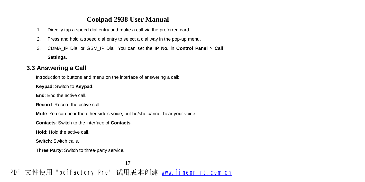- 1. Directly tap a speed dial entry and make a call via the preferred card.
- 2. Press and hold a speed dial entry to select a dial way in the pop-up menu.
- 3. CDMA\_IP Dial or GSM\_IP Dial. You can set the **IP No.** in **Control Panel** > **Call Settings**.

#### **3.3 Answering a Call**

Introduction to buttons and menu on the interface of answering a call:

**Keypad**: Switch to **Keypad**.

**End**: End the active call.

**Record**: Record the active call.

**Mute**: You can hear the other side's voice, but he/she cannot hear your voice.

**Contacts**: Switch to the interface of **Contacts**.

**Hold**: Hold the active call.

**Switch**: Switch calls.

**Three Party**: Switch to three-party service.

17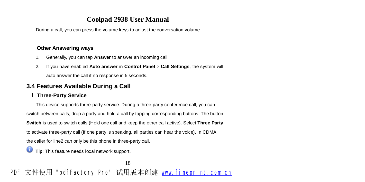During a call, you can press the volume keys to adjust the conversation volume.

#### **Other Answering ways**

- 1. Generally, you can tap **Answer** to answer an incoming call.
- 2. If you have enabled **Auto answer** in **Control Panel** > **Call Settings**, the system will auto answer the call if no response in 5 seconds.

## **3.4 Features Available During a Call**

#### l **Three-Party Service**

This device supports three-party service. During a three-party conference call, you can switch between calls, drop a party and hold a call by tapping corresponding buttons. The button **Switch** is used to switch calls (Hold one call and keep the other call active). Select **Three Party** to activate three-party call (If one party is speaking, all parties can hear the voice). In CDMA, the caller for line2 can only be this phone in three-party call.

**Tip**: This feature needs local network support.

18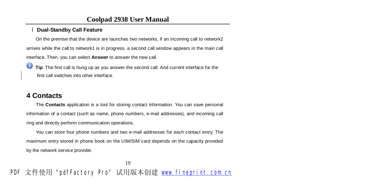#### l **Dual-Standby Call Feature**

On the premise that the device are launches two networks, if an incoming call to network2 arrives while the call to network1 is in progress, a second call window appears in the main call interface. Then, you can select **Answer** to answer the new call.

Ο **Tip**: The first call is hung up as you answer the second call. And current interface for the first call switches into other interface.

## **4 Contacts**

The **Contacts** application is a tool for storing contact information. You can save personal information of a contact (such as name, phone numbers, e-mail addresses), and incoming call ring and directly perform communication operations.

You can store four phone numbers and two e-mail addresses for each contact entry. The maximum entry stored in phone book on the UIM/SIM card depends on the capacity provided by the network service provider.

19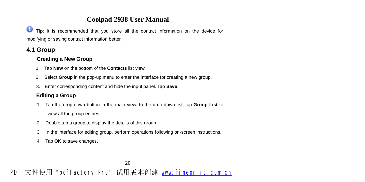Ο **Tip**: It is recommended that you store all the contact information on the device for modifying or saving contact information better.

## **4.1 Group**

#### **Creating a New Group**

- 1. Tap **New** on the bottom of the **Contacts** list view.
- 2. Select **Group** in the pop-up menu to enter the interface for creating a new group.
- 3. Enter corresponding content and hide the input panel. Tap **Save**.

#### **Editing a Group**

- 1. Tap the drop-down button in the main view. In the drop-down list, tap **Group List** to view all the group entries.
- 2. Double tap a group to display the details of this group.
- 3. In the interface for editing group, perform operations following on-screen instructions.
- 4. Tap **OK** to save changes.

20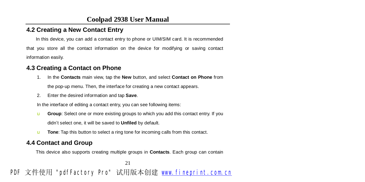#### **4.2 Creating a New Contact Entry**

In this device, you can add a contact entry to phone or UIM/SIM card. It is recommended that you store all the contact information on the device for modifying or saving contact information easily.

#### **4.3 Creating a Contact on Phone**

- 1. In the **Contacts** main view, tap the **New** button, and select **Contact on Phone** from the pop-up menu. Then, the interface for creating a new contact appears.
- 2. Enter the desired information and tap **Save**.

In the interface of editing a contact entry, you can see following items:

- u **Group**: Select one or more existing groups to which you add this contact entry. If you didn't select one, it will be saved to **Unfiled** by default.
- u **Tone**: Tap this button to select a ring tone for incoming calls from this contact.

#### **4.4 Contact and Group**

This device also supports creating multiple groups in **Contacts**. Each group can contain

21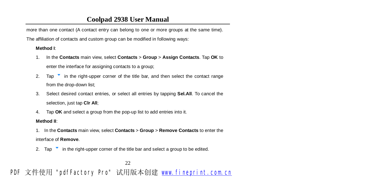more than one contact (A contact entry can belong to one or more groups at the same time).

The affiliation of contacts and custom group can be modified in following ways:

#### **Method I**:

- 1. In the **Contacts** main view, select **Contacts** > **Group** > **Assign Contacts**. Tap **OK** to enter the interface for assigning contacts to a group;
- 2. Tap  $\bullet$  in the right-upper corner of the title bar, and then select the contact range from the drop-down list;
- 3. Select desired contact entries, or select all entries by tapping **Sel.All**. To cancel the selection, just tap **Clr All**;
- 4. Tap **OK** and select a group from the pop-up list to add entries into it.

#### **Method II**:

- 1. In the **Contacts** main view, select **Contacts** > **Group** > **Remove Contacts** to enter the interface of **Remove**.
- 2. Tap  $\bullet$  in the right-upper corner of the title bar and select a group to be edited.

22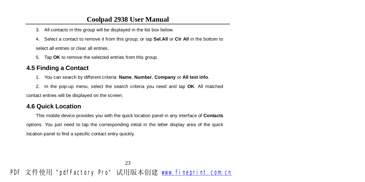- 3. All contacts in this group will be displayed in the list box below.
- 4. Select a contact to remove it from this group; or tap **Sel.All** or **Clr All** in the bottom to

select all entries or clear all entries.

5. Tap **OK** to remove the selected entries from this group.

### **4.5 Finding a Contact**

- 1. You can search by different criteria: **Name**, **Number**, **Company** or **All text info**.
- 2. In the pop-up menu, select the search criteria you need and tap **OK**. All matched

contact entries will be displayed on the screen.

### **4.6 Quick Location**

This mobile device provides you with the quick location panel in any interface of **Contacts** options. You just need to tap the corresponding initial in the letter display area of the quick location panel to find a specific contact entry quickly.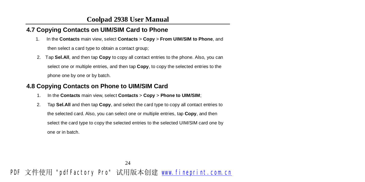### **4.7 Copying Contacts on UIM/SIM Card to Phone**

- 1. In the **Contacts** main view, select **Contacts** > **Copy** > **From UIM/SIM to Phone**, and then select a card type to obtain a contact group;
- 2. Tap **Sel.All**, and then tap **Copy** to copy all contact entries to the phone. Also, you can select one or multiple entries, and then tap **Copy**, to copy the selected entries to the phone one by one or by batch.

#### **4.8 Copying Contacts on Phone to UIM/SIM Card**

- 1. In the **Contacts** main view, select **Contacts** > **Copy** > **Phone to UIM/SIM**;
- 2. Tap **Sel.All** and then tap **Copy**, and select the card type to copy all contact entries to the selected card. Also, you can select one or multiple entries, tap **Copy**, and then select the card type to copy the selected entries to the selected UIM/SIM card one by one or in batch.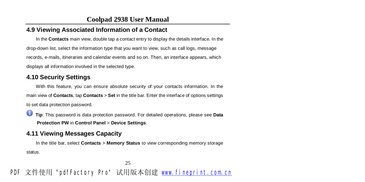#### **4.9 Viewing Associated Information of a Contact**

In the **Contacts** main view, double tap a contact entry to display the details interface. In the drop-down list, select the information type that you want to view, such as call logs, message records, e-mails, itineraries and calendar events and so on. Then, an interface appears, which displays all information involved in the selected type.

#### **4.10 Security Settings**

With this feature, you can ensure absolute security of your contacts information. In the main view of **Contacts**, tap **Contacts** > **Set** in the title bar. Enter the interface of options settings to set data protection password.

Ο **Tip**: This password is data protection password. For detailed operations, please see **Data Protection PW** in **Control Panel** > **Device Settings**.

#### **4.11 Viewing Messages Capacity**

In the title bar, select **Contacts** > **Memory Status** to view corresponding memory storage status.

25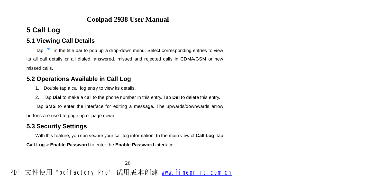# **5 Call Log**

### **5.1 Viewing Call Details**

Tap  $\bullet$  in the title bar to pop up a drop-down menu. Select corresponding entries to view its all call details or all dialed, answered, missed and rejected calls in CDMA/GSM or new missed calls.

#### **5.2 Operations Available in Call Log**

- 1. Double tap a call log entry to view its details.
- 2. Tap **Dial** to make a call to the phone number in this entry. Tap **Del** to delete this entry.

Tap **SMS** to enter the interface for editing a message. The upwards/downwards arrow buttons are used to page up or page down.

### **5.3 Security Settings**

With this feature, you can secure your call log information. In the main view of **Call Log**, tap

**Call Log** > **Enable Password** to enter the **Enable Password** interface.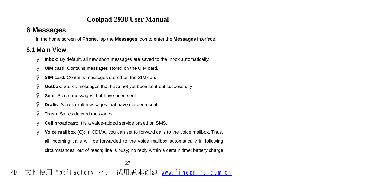# **6 Messages**

In the home screen of **Phone**, tap the **Messages** icon to enter the **Messages** interface.

### **6.1 Main View**

- Ø **Inbox**: By default, all new short messages are saved to the Inbox automatically.
- Ø **UIM card**: Contains messages stored on the UIM card.
- Ø **SIM card**: Contains messages stored on the SIM card.
- Ø **Outbox**: Stores messages that have not yet been sent out successfully.
- Ø **Sent**: Stores messages that have been sent.
- Ø **Drafts**: Stores draft messages that have not been sent.
- Ø **Trash**: Stores deleted messages.
- Ø **Cell broadcast**: It is a value-added service based on SMS.
- Ø **Voice mailbox (C)**: In CDMA, you can set to forward calls to the voice mailbox. Thus, all incoming calls will be forwarded to the voice mailbox automatically in following circumstances: out of reach; line is busy; no reply within a certain time; battery charge

27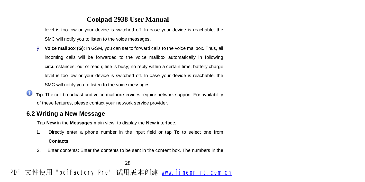level is too low or your device is switched off. In case your device is reachable, the SMC will notify you to listen to the voice messages.

- Ø **Voice mailbox (G)**: In GSM, you can set to forward calls to the voice mailbox. Thus, all incoming calls will be forwarded to the voice mailbox automatically in following circumstances: out of reach; line is busy; no reply within a certain time; battery charge level is too low or your device is switched off. In case your device is reachable, the SMC will notify you to listen to the voice messages.
- Ο **Tip**: The cell broadcast and voice mailbox services require network support. For availability of these features, please contact your network service provider.

#### **6.2 Writing a New Message**

Tap **New** in the **Messages** main view, to display the **New** interface.

1. Directly enter a phone number in the input field or tap **To** to select one from

#### **Contacts**;

2. Enter contents: Enter the contents to be sent in the content box. The numbers in the

28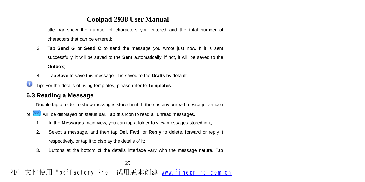title bar show the number of characters you entered and the total number of characters that can be entered;

- 3. Tap **Send G** or **Send C** to send the message you wrote just now. If it is sent successfully, it will be saved to the **Sent** automatically; if not, it will be saved to the **Outbox**;
- 4. Tap **Save** to save this message. It is saved to the **Drafts** by default.
- o **Tip**: For the details of using templates, please refer to **Templates**.

#### **6.3 Reading a Message**

Double tap a folder to show messages stored in it. If there is any unread message, an icon

- of  $\sim$  will be displayed on status bar. Tap this icon to read all unread messages.
	- 1. In the **Messages** main view, you can tap a folder to view messages stored in it;
	- 2. Select a message, and then tap **Del**, **Fwd**, or **Reply** to delete, forward or reply it respectively, or tap it to display the details of it;
	- 3. Buttons at the bottom of the details interface vary with the message nature. Tap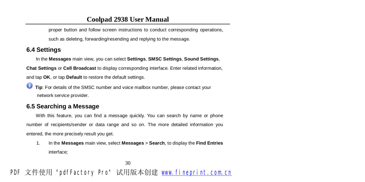proper button and follow screen instructions to conduct corresponding operations,

such as deleting, forwarding/resending and replying to the message.

**6.4 Settings** 

In the **Messages** main view, you can select **Settings**, **SMSC Settings**, **Sound Settings**,

**Chat Settings** or **Cell Broadcast** to display corresponding interface. Enter related information,

and tap **OK**, or tap **Default** to restore the default settings.

0 **Tip**: For details of the SMSC number and voice mailbox number, please contact your network service provider.

#### **6.5 Searching a Message**

With this feature, you can find a message quickly. You can search by name or phone number of recipients/sender or data range and so on. The more detailed information you entered, the more precisely result you get.

1. In the **Messages** main view, select **Messages** > **Search**, to display the **Find Entries**  interface;

30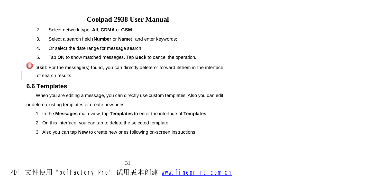- 2. Select network type: **All**, **CDMA** or **GSM**;
- 3. Select a search field (**Number** or **Name**), and enter keywords;
- 4. Or select the date range for message search;
- 5. Tap **OK** to show matched messages. Tap **Back** to cancel the operation.
- U **Skill:** For the message(s) found, you can directly delete or forward it/them in the interface of search results.

#### **6.6 Templates**

When you are editing a message, you can directly use custom templates. Also you can edit or delete existing templates or create new ones.

- 1. In the **Messages** main view, tap **Templates** to enter the interface of **Templates**;
- 2. On this interface, you can tap to delete the selected template.
- 3. Also you can tap **New** to create new ones following on-screen instructions.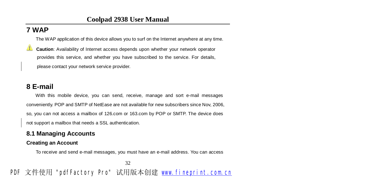## **7 WAP**

The WAP application of this device allows you to surf on the Internet anywhere at any time.

**Caution**: Availability of Internet access depends upon whether your network operator provides this service, and whether you have subscribed to the service. For details, please contact your network service provider.

# **8 E-mail**

With this mobile device, you can send, receive, manage and sort e-mail messages conveniently. POP and SMTP of NetEase are not available for new subscribers since Nov, 2006, so, you can not access a mailbox of 126.com or 163.com by POP or SMTP. The device does not support a mailbox that needs a SSL authentication.

### **8.1 Managing Accounts**

#### **Creating an Account**

To receive and send e-mail messages, you must have an e-mail address. You can access

32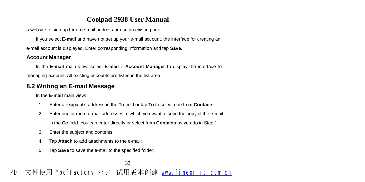a website to sign up for an e-mail address or use an existing one.

If you select **E-mail** and have not set up your e-mail account, the interface for creating an

e-mail account is displayed. Enter corresponding information and tap **Save**.

#### **Account Manager**

In the **E-mail** main view, select **E-mail** > **Account Manager** to display the interface for managing account. All existing accounts are listed in the list area.

#### **8.2 Writing an E-mail Message**

In the **E-mail** main view:

- 1. Enter a recipient's address in the **To** field or tap **To** to select one from **Contacts**;
- 2. Enter one or more e-mail addresses to which you want to send the copy of the e-mail in the **Cc** field. You can enter directly or select from **Contacts** as you do in Step 1;
- 3. Enter the subject and contents;
- 4. Tap **Attach** to add attachments to the e-mail;
- 5. Tap **Save** to save the e-mail to the specified folder;

33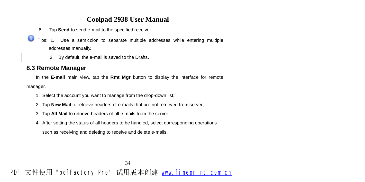- 6. Tap **Send** to send e-mail to the specified receiver.
- Φ Tips: 1. Use a semicolon to separate multiple addresses while entering multiple addresses manually.
	- 2. By default, the e-mail is saved to the Drafts.

#### **8.3 Remote Manager**

In the **E-mail** main view, tap the **Rmt Mgr** button to display the interface for remote

manager.

- 1. Select the account you want to manage from the drop-down list;
- 2. Tap **New Mail** to retrieve headers of e-mails that are not retrieved from server;
- 3. Tap **All Mail** to retrieve headers of all e-mails from the server;
- 4. After setting the status of all headers to be handled, select corresponding operations

such as receiving and deleting to receive and delete e-mails.

#### 34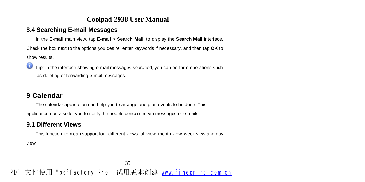### **8.4 Searching E-mail Messages**

In the **E-mail** main view, tap **E-mail** > **Search Mail**, to display the **Search Mail** interface.

Check the box next to the options you desire, enter keywords if necessary, and then tap **OK** to show results.

Φ **Tip**: In the interface showing e-mail messages searched, you can perform operations such as deleting or forwarding e-mail messages.

# **9 Calendar**

The calendar application can help you to arrange and plan events to be done. This application can also let you to notify the people concerned via messages or e-mails.

### **9.1 Different Views**

This function item can support four different views: all view, month view, week view and day

view.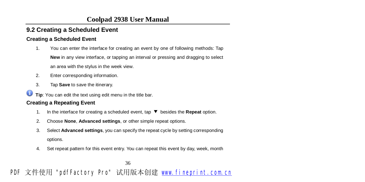# **9.2 Creating a Scheduled Event**

#### **Creating a Scheduled Event**

- 1. You can enter the interface for creating an event by one of following methods: Tap **New** in any view interface, or tapping an interval or pressing and dragging to select an area with the stylus in the week view.
- 2. Enter corresponding information.
- 3. Tap **Save** to save the itinerary.
- Ο **Tip**: You can edit the text using edit menu in the title bar.

#### **Creating a Repeating Event**

- 1. In the interface for creating a scheduled event, tap ▼ besides the **Repeat** option.
- 2. Choose **None**, **Advanced settings**, or other simple repeat options.
- 3. Select **Advanced settings**, you can specify the repeat cycle by setting corresponding options.
- 4. Set repeat pattern for this event entry. You can repeat this event by day, week, month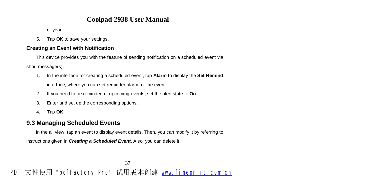or year.

5. Tap **OK** to save your settings.

#### **Creating an Event with Notification**

This device provides you with the feature of sending notification on a scheduled event via short message(s).

- 1. In the interface for creating a scheduled event, tap **Alarm** to display the **Set Remind** interface, where you can set reminder alarm for the event.
- 2. If you need to be reminded of upcoming events, set the alert state to **On**.
- 3. Enter and set up the corresponding options.
- 4. Tap **OK**.

#### **9.3 Managing Scheduled Events**

In the all view, tap an event to display event details. Then, you can modify it by referring to

instructions given in *Creating a Scheduled Event*. Also, you can delete it.

37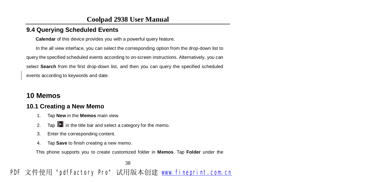### **9.4 Querying Scheduled Events**

**Calendar** of this device provides you with a powerful query feature.

In the all view interface, you can select the corresponding option from the drop-down list to query the specified scheduled events according to on-screen instructions. Alternatively, you can select **Search** from the first drop-down list, and then you can query the specified scheduled events according to keywords and date.

# **10 Memos**

### **10.1 Creating a New Memo**

- 1. Tap **New** in the **Memos** main view.
- 2. Tap  $\|\mathbf{v}\|$  in the title bar and select a category for the memo.
- 3. Enter the corresponding content.
- 4. Tap **Save** to finish creating a new memo.

This phone supports you to create customized folder in **Memos**. Tap **Folder** under the

38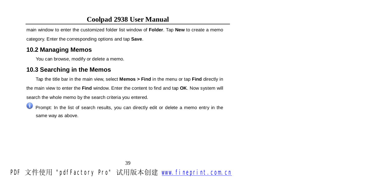main window to enter the customized folder list window of **Folder**. Tap **New** to create a memo

category. Enter the corresponding options and tap **Save**.

#### **10.2 Managing Memos**

You can browse, modify or delete a memo.

### **10.3 Searching in the Memos**

Tap the title bar in the main view, select **Memos > Find** in the menu or tap **Find** directly in

the main view to enter the **Find** window. Enter the content to find and tap **OK**. Now system will

search the whole memo by the search criteria you entered.

Ο Prompt: In the list of search results, you can directly edit or delete a memo entry in the same way as above.

# PDF 文件使用 "pdfFactory Pro" 试用版本创建 [www.fineprint.com.cn](http://www.fineprint.com.cn)

39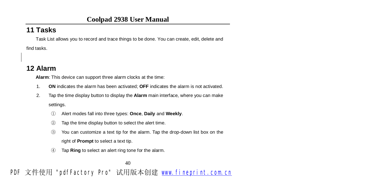# **11 Tasks**

Task List allows you to record and trace things to be done. You can create, edit, delete and find tasks.

# **12 Alarm**

**Alarm**: This device can support three alarm clocks at the time:

- 1. **ON** indicates the alarm has been activated; **OFF** indicates the alarm is not activated.
- 2. Tap the time display button to display the **Alarm** main interface, where you can make settings.
	- ① Alert modes fall into three types: **Once**, **Daily** and **Weekly**.
	- ② Tap the time display button to select the alert time.
	- ③ You can customize a text tip for the alarm. Tap the drop-down list box on the right of **Prompt** to select a text tip.
	- ④ Tap **Ring** to select an alert ring tone for the alarm.

<sup>40</sup>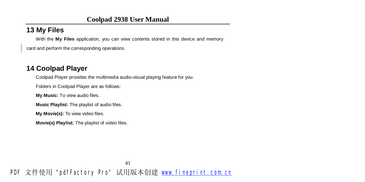# **13 My Files**

With the **My Files** application, you can view contents stored in this device and memory card and perform the corresponding operations.

### **14 Coolpad Player**

Coolpad Player provides the multimedia audio-visual playing feature for you.

Folders in Coolpad Player are as follows:

**My Music:** To view audio files.

**Music Playlist:** The playlist of audio files.

**My Movie(s):** To view video files.

**Movie(s) Playlist:** The playlist of video files.

PDF 文件使用 "pdfFactory Pro" 试用版本创建 [www.fineprint.com.cn](http://www.fineprint.com.cn)

41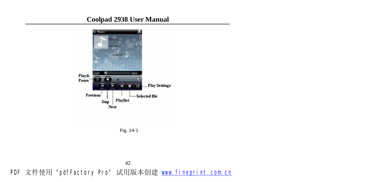

Fig. 14-1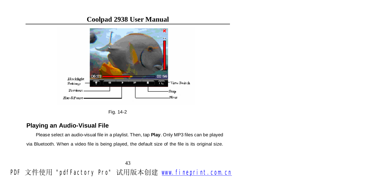

Fig. 14-2

#### **Playing an Audio-Visual File**

Please select an audio-visual file in a playlist. Then, tap **Play**. Only MP3 files can be played via Bluetooth. When a video file is being played, the default size of the file is its original size.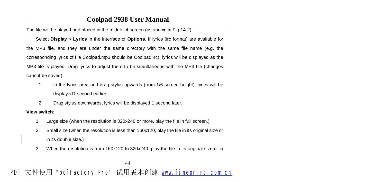The file will be played and placed in the middle of screen (as shown in Fig.14-2).

Select **Display** > **Lyrics** in the interface of **Options**. If lyrics (lrc format) are available for the MP3 file, and they are under the same directory with the same file name (e.g. the corresponding lyrics of file Coolpad.mp3 should be Coolpad.Irc), lyrics will be displayed as the MP3 file is played. Drag lyrics to adjust them to be simultaneous with the MP3 file (changes cannot be saved).

- 1. In the lyrics area and drag stylus upwards (from 1/6 screen height), lyrics will be displayed1 second earlier.
- 2. Drag stylus downwards, lyrics will be displayed 1 second later.

#### **View switch**:

- 1. Large size (when the resolution is 320x240 or more, play the file in full screen.)
- 2. Small size (when the resolution is less than 160x120, play the file in its original size or in its double size.)
- 3. When the resolution is from 160x120 to 320x240, play the file in its original size or in

44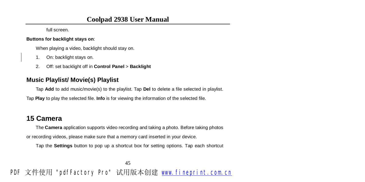full screen.

#### **Buttons for backlight stays on**:

When playing a video, backlight should stay on.

- 1. On: backlight stays on.
- 2. Off: set backlight off in **Control Panel** > **Backlight**

### **Music Playlist/ Movie(s) Playlist**

Tap **Add** to add music/movie(s) to the playlist. Tap **Del** to delete a file selected in playlist.

Tap **Play** to play the selected file. **Info** is for viewing the information of the selected file.

# **15 Camera**

The **Camera** application supports video recording and taking a photo. Before taking photos or recording videos, please make sure that a memory card inserted in your device.

Tap the **Settings** button to pop up a shortcut box for setting options. Tap each shortcut

45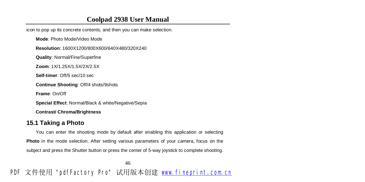icon to pop up its concrete contents, and then you can make selection.

**Mode**: Photo Mode/Video Mode

**Resolution**: 1600X1200/800X600/640X480/320X240

**Quality**: Normal/Fine/Superfine

**Zoom**: 1X/1.25X/1.5X/2X/2.5X

**Self-timer**: Off/5 sec/10 sec

**Continue Shooting**: Off/4 shots/9shots

**Frame**: On/Off

**Special Effect**: Normal/Black & white/Negative/Sepia

**Contrast/ Chroma/Brightness** 

#### **15.1 Taking a Photo**

You can enter the shooting mode by default after enabling this application or selecting **Photo** in the mode selection. After setting various parameters of your camera, focus on the subject and press the Shutter button or press the center of 5-way joystick to complete shooting.

46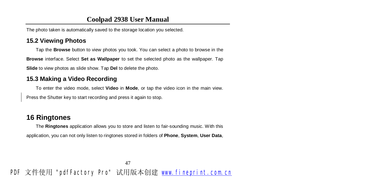The photo taken is automatically saved to the storage location you selected.

#### **15.2 Viewing Photos**

Tap the **Browse** button to view photos you took. You can select a photo to browse in the **Browse** interface. Select **Set as Wallpaper** to set the selected photo as the wallpaper. Tap

**Slide** to view photos as slide show. Tap **Del** to delete the photo.

#### **15.3 Making a Video Recording**

To enter the video mode, select **Video** in **Mode**, or tap the video icon in the main view.

Press the Shutter key to start recording and press it again to stop.

## **16 Ringtones**

The **Ringtones** application allows you to store and listen to fair-sounding music. With this application, you can not only listen to ringtones stored in folders of **Phone**, **System**, **User Data**,

47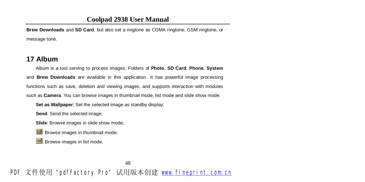**Brew Downloads** and **SD Card**, but also set a ringtone as CDMA ringtone, GSM ringtone, or message tone.

#### **17 Album**

Album is a tool serving to process images. Folders of **Photo**, **SD Card**, **Phone**, **System** and **Brew Downloads** are available in this application. It has powerful image processing functions such as save, deletion and viewing images, and supports interaction with modules such as **Camera**. You can browse images in thumbnail mode, list mode and slide show mode.

**Set as Wallpaper**: Set the selected image as standby display;

**Send**: Send the selected image;

**Slide**: Browse images in slide show mode;

**B**: Browse images in thumbnail mode;

**E**: Browse images in list mode.

48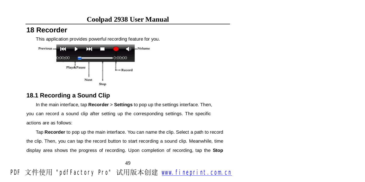# **18 Recorder**

This application provides powerful recording feature for you.



#### **18.1 Recording a Sound Clip**

In the main interface, tap **Recorder** > **Settings** to pop up the settings interface. Then, you can record a sound clip after setting up the corresponding settings. The specific actions are as follows:

Tap **Recorder** to pop up the main interface. You can name the clip. Select a path to record the clip. Then, you can tap the record button to start recording a sound clip. Meanwhile, time display area shows the progress of recording. Upon completion of recording, tap the **Stop**

49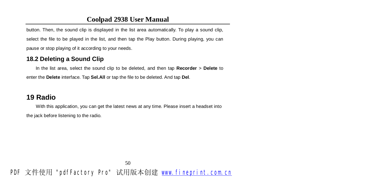button. Then, the sound clip is displayed in the list area automatically. To play a sound clip, select the file to be played in the list, and then tap the Play button. During playing, you can pause or stop playing of it according to your needs.

#### **18.2 Deleting a Sound Clip**

In the list area, select the sound clip to be deleted, and then tap **Recorder** > **Delete** to enter the **Delete** interface. Tap **Sel.All** or tap the file to be deleted. And tap **Del**.

### **19 Radio**

With this application, you can get the latest news at any time. Please insert a headset into the jack before listening to the radio.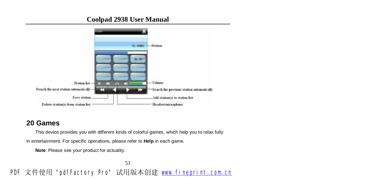

### **20 Games**

This device provides you with different kinds of colorful games, which help you to relax fully

in entertainment. For specific operations, please refer to **Help** in each game.

**Note**: Please see your product for actuality.

51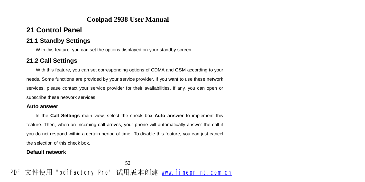# **21 Control Panel**

#### **21.1 Standby Settings**

With this feature, you can set the options displayed on your standby screen.

### **21.2 Call Settings**

With this feature, you can set corresponding options of CDMA and GSM according to your needs. Some functions are provided by your service provider. If you want to use these network services, please contact your service provider for their availabilities. If any, you can open or subscribe these network services.

#### **Auto answer**

In the **Call Settings** main view, select the check box **Auto answer** to implement this feature. Then, when an incoming call arrives, your phone will automatically answer the call if you do not respond within a certain period of time. To disable this feature, you can just cancel the selection of this check box.

#### **Default network**

52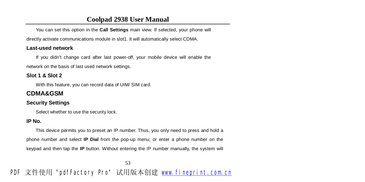You can set this option in the **Call Settings** main view. If selected, your phone will directly activate communications module in slot1. It will automatically select CDMA.

#### **Last-used network**

If you didn't change card after last power-off, your mobile device will enable the network on the basis of last used network settings.

#### **Slot 1 & Slot 2**

With this feature, you can record data of UIM/ SIM card.

### **CDMA&GSM**

#### **Security Settings**

Select whether to use the security lock.

#### **IP No.**

This device permits you to preset an IP number. Thus, you only need to press and hold a phone number and select **IP Dial** from the pop-up menu; or enter a phone number on the keypad and then tap the **IP** button. Without entering the IP number manually, the system will

53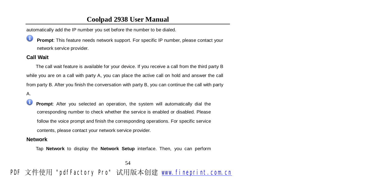automatically add the IP number you set before the number to be dialed.

ω **Prompt**: This feature needs network support. For specific IP number, please contact your network service provider.

#### **Call Wait**

The call wait feature is available for your device. If you receive a call from the third party B while you are on a call with party A, you can place the active call on hold and answer the call from party B. After you finish the conversation with party B, you can continue the call with party

A.

Œ **Prompt**: After you selected an operation, the system will automatically dial the corresponding number to check whether the service is enabled or disabled. Please follow the voice prompt and finish the corresponding operations. For specific service contents, please contact your network service provider.

#### **Network**

Tap **Network** to display the **Network Setup** interface. Then, you can perform

54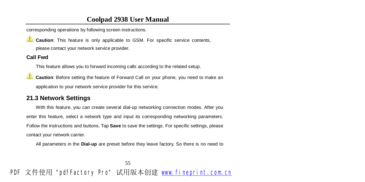corresponding operations by following screen instructions.

**Caution**: This feature is only applicable to GSM. For specific service contents, please contact your network service provider.

#### **Call Fwd**

This feature allows you to forward incoming calls according to the related setup.

**Caution**: Before setting the feature of Forward Call on your phone, you need to make an application to your network service provider for this service.

#### **21.3 Network Settings**

With this feature, you can create several dial-up networking connection modes. After you enter this feature, select a network type and input its corresponding networking parameters. Follow the instructions and buttons. Tap **Save** to save the settings. For specific settings, please contact your network carrier.

All parameters in the **Dial-up** are preset before they leave factory. So there is no need to

55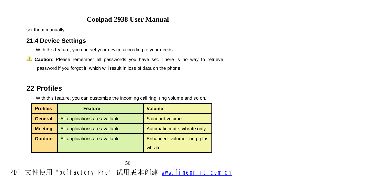set them manually.

#### **21.4 Device Settings**

With this feature, you can set your device according to your needs.

**Caution**: Please remember all passwords you have set. There is no way to retrieve password if you forgot it, which will result in loss of data on the phone.

# **22 Profiles**

With this feature, you can customize the incoming call ring, ring volume and so on.

| <b>Profiles</b> | <b>Feature</b>                 | <b>Volume</b>                 |
|-----------------|--------------------------------|-------------------------------|
| <b>General</b>  | All applications are available | <b>Standard volume</b>        |
| <b>Meeting</b>  | All applications are available | Automatic mute, vibrate only. |
| <b>Outdoor</b>  | All applications are available | Enhanced volume, ring plus    |
|                 |                                | vibrate                       |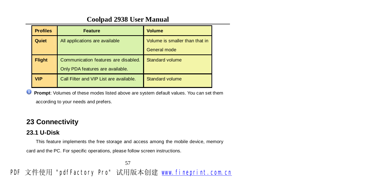| <b>Profiles</b> | <b>Feature</b>                          | <b>Volume</b>                  |
|-----------------|-----------------------------------------|--------------------------------|
| Quiet           | All applications are available          | Volume is smaller than that in |
|                 |                                         | General mode                   |
| <b>Flight</b>   | Communication features are disabled.    | Standard volume                |
|                 | Only PDA features are available.        |                                |
| VIP             | Call Filter and VIP List are available. | Standard volume                |

**Prompt**: Volumes of these modes listed above are system default values. You can set them according to your needs and prefers.

# **23 Connectivity**

### **23.1 U-Disk**

This feature implements the free storage and access among the mobile device, memory

card and the PC. For specific operations, please follow screen instructions.

57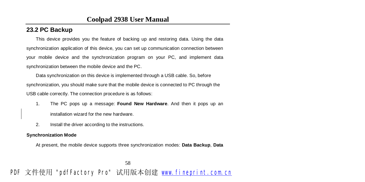## **23.2 PC Backup**

This device provides you the feature of backing up and restoring data. Using the data synchronization application of this device, you can set up communication connection between your mobile device and the synchronization program on your PC, and implement data synchronization between the mobile device and the PC.

Data synchronization on this device is implemented through a USB cable. So, before synchronization, you should make sure that the mobile device is connected to PC through the USB cable correctly. The connection procedure is as follows:

- 1. The PC pops up a message: **Found New Hardware**. And then it pops up an installation wizard for the new hardware.
- 2. Install the driver according to the instructions.

#### **Synchronization Mode**

At present, the mobile device supports three synchronization modes: **Data Backup**, **Data** 

58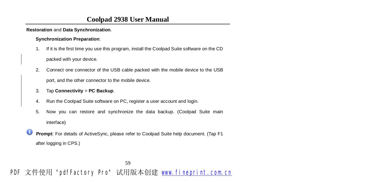**Restoration** and **Data Synchronization**.

#### **Synchronization Preparation**:

- 1. If it is the first time you use this program, install the Coolpad Suite software on the CD packed with your device.
- 2. Connect one connector of the USB cable packed with the mobile device to the USB

port, and the other connector to the mobile device.

- 3. Tap **Connectivity** > **PC Backup**.
- 4. Run the Coolpad Suite software on PC, register a user account and login.
- 5. Now you can restore and synchronize the data backup. (Coolpad Suite main interface)
- Ο **Prompt**: For details of ActiveSync, please refer to Coolpad Suite help document. (Tap F1 after logging in CPS.)

59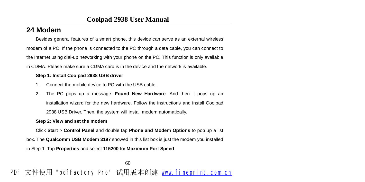# **24 Modem**

Besides general features of a smart phone, this device can serve as an external wireless modem of a PC. If the phone is connected to the PC through a data cable, you can connect to the Internet using dial-up networking with your phone on the PC. This function is only available in CDMA. Please make sure a CDMA card is in the device and the network is available.

#### **Step 1: Install Coolpad 2938 USB driver**

- 1. Connect the mobile device to PC with the USB cable.
- 2. The PC pops up a message: **Found New Hardware**. And then it pops up an installation wizard for the new hardware. Follow the instructions and install Coolpad 2938 USB Driver. Then, the system will install modem automatically.

#### **Step 2: View and set the modem**

Click **Start** > **Control Panel** and double tap **Phone and Modem Options** to pop up a list box. The **Qualcomm USB Modem 3197** showed in this list box is just the modem you installed in Step 1. Tap **Properties** and select **115200** for **Maximum Port Speed**.

60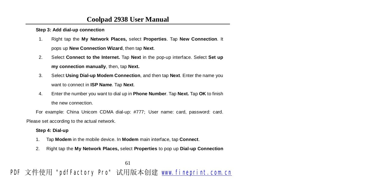**Step 3: Add dial-up connection** 

- 1. Right tap the **My Network Places,** select **Properties**. Tap **New Connection**. It pops up **New Connection Wizard**, then tap **Next**.
- 2. Select **Connect to the Internet.** Tap **Next** in the pop-up interface. Select **Set up my connection manually**, then, tap **Next.**
- 3. Select **Using Dial-up Modem Connection**, and then tap **Next**. Enter the name you want to connect in **ISP Name**. Tap **Next**.
- 4. Enter the number you want to dial up in **Phone Number**. Tap **Next.** Tap **OK** to finish the new connection.

For example: China Unicom CDMA dial-up: #777; User name: card, password: card.

Please set according to the actual network.

#### **Step 4: Dial-up**

- 1. Tap **Modem** in the mobile device. In **Modem** main interface, tap **Connect**.
- 2. Right tap the **My Network Places,** select **Properties** to pop up **Dial-up Connection**

61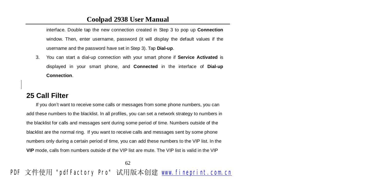interface. Double tap the new connection created in Step 3 to pop up **Connection**  window. Then, enter username, password (it will display the default values if the username and the password have set in Step 3). Tap **Dial-up**.

3. You can start a dial-up connection with your smart phone if **Service Activated** is displayed in your smart phone, and **Connected** in the interface of **Dial-up Connection**.

# **25 Call Filter**

If you don't want to receive some calls or messages from some phone numbers, you can add these numbers to the blacklist. In all profiles, you can set a network strategy to numbers in the blacklist for calls and messages sent during some period of time. Numbers outside of the blacklist are the normal ring. If you want to receive calls and messages sent by some phone numbers only during a certain period of time, you can add these numbers to the VIP list. In the **VIP** mode, calls from numbers outside of the VIP list are mute. The VIP list is valid in the VIP

62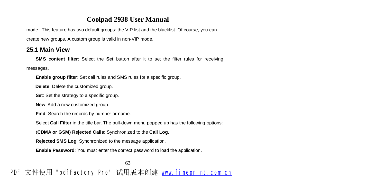mode. This feature has two default groups: the VIP list and the blacklist. Of course, you can

create new groups. A custom group is valid in non-VIP mode.

### **25.1 Main View**

**SMS content filter**: Select the **Set** button after it to set the filter rules for receiving

messages.

**Enable group filter**: Set call rules and SMS rules for a specific group.

**Delete**: Delete the customized group.

**Set**: Set the strategy to a specific group.

**New**: Add a new customized group.

**Find**: Search the records by number or name.

Select **Call Filter** in the title bar. The pull-down menu popped up has the following options:

(**CDMA or GSM**) **Rejected Calls**: Synchronized to the **Call Log**.

**Rejected SMS Log**: Synchronized to the message application.

**Enable Password**: You must enter the correct password to load the application.

63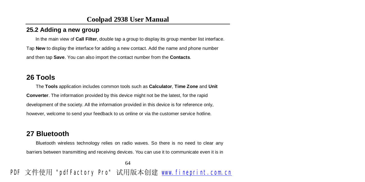## **25.2 Adding a new group**

In the main view of **Call Filter**, double tap a group to display its group member list interface.

Tap **New** to display the interface for adding a new contact. Add the name and phone number and then tap **Save**. You can also import the contact number from the **Contacts**.

# **26 Tools**

The **Tools** application includes common tools such as **Calculator**, **Time Zone** and **Unit Converter**. The information provided by this device might not be the latest, for the rapid development of the society. All the information provided in this device is for reference only, however, welcome to send your feedback to us online or via the customer service hotline.

# **27 Bluetooth**

Bluetooth wireless technology relies on radio waves. So there is no need to clear any barriers between transmitting and receiving devices. You can use it to communicate even it is in

64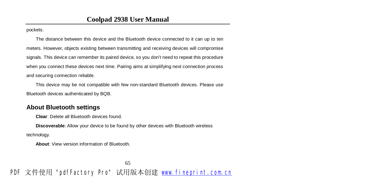pockets.

The distance between this device and the Bluetooth device connected to it can up to ten meters. However, objects existing between transmitting and receiving devices will compromise signals. This device can remember its paired device, so you don't need to repeat this procedure when you connect these devices next time. Pairing aims at simplifying next connection process and securing connection reliable.

This device may be not compatible with few non-standard Bluetooth devices. Please use Bluetooth devices authenticated by BQB.

#### **About Bluetooth settings**

**Clear**: Delete all Bluetooth devices found.

**Discoverable**: Allow your device to be found by other devices with Bluetooth wireless technology.

**About**: View version information of Bluetooth.

65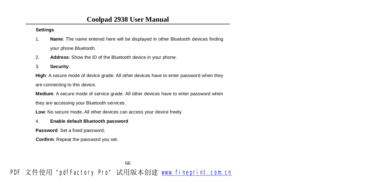#### **Settings**

- 1. **Name**: The name entered here will be displayed in other Bluetooth devices finding your phone Bluetooth.
- 2. **Address**: Show the ID of the Bluetooth device in your phone.
- 3. **Security**:

**High**: A secure mode of device grade. All other devices have to enter password when they are connecting to this device.

**Medium**: A secure mode of service grade. All other devices have to enter password when

they are accessing your Bluetooth services.

**Low**: No secure mode. All other devices can access your device freely.

#### 4. **Enable default Bluetooth password**

**Password**: Set a fixed password;

**Confirm**: Repeat the password you set.

66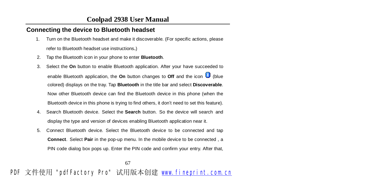#### **Connecting the device to Bluetooth headset**

1. Turn on the Bluetooth headset and make it discoverable. (For specific actions, please

refer to Bluetooth headset use instructions.)

- 2. Tap the Bluetooth icon in your phone to enter **Bluetooth**.
- 3. Select the **On** button to enable Bluetooth application. After your have succeeded to enable Bluetooth application, the **On** button changes to **Off** and the icon **(b)** (blue colored) displays on the tray. Tap **Bluetooth** in the title bar and select **Discoverable**. Now other Bluetooth device can find the Bluetooth device in this phone (when the Bluetooth device in this phone is trying to find others, it don't need to set this feature).
- 4. Search Bluetooth device. Select the **Search** button. So the device will search and display the type and version of devices enabling Bluetooth application near it.
- 5. Connect Bluetooth device. Select the Bluetooth device to be connected and tap **Connect**. Select **Pair** in the pop-up menu. In the mobile device to be connected , a PIN code dialog box pops up. Enter the PIN code and confirm your entry. After that,

67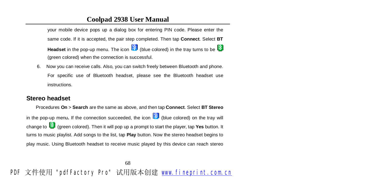your mobile device pops up a dialog box for entering PIN code. Please enter the same code. If it is accepted, the pair step completed. Then tap **Connect**. Select **BT Headset** in the pop-up menu. The icon **(b)** (blue colored) in the tray turns to be (green colored) when the connection is successful.

6. Now you can receive calls. Also, you can switch freely between Bluetooth and phone. For specific use of Bluetooth headset, please see the Bluetooth headset use instructions.

#### **Stereo headset**

Procedures **On** > **Search** are the same as above, and then tap **Connect**. Select **BT Stereo**  in the pop-up menu. If the connection succeeded, the icon  $\mathbb{R}$  (blue colored) on the tray will change to **(b)** (green colored). Then it will pop up a prompt to start the player, tap **Yes** button. It turns to music playlist. Add songs to the list, tap **Play** button. Now the stereo headset begins to play music. Using Bluetooth headset to receive music played by this device can reach stereo

68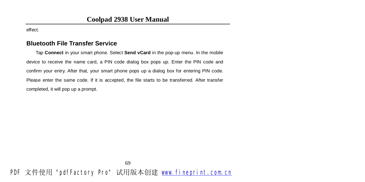effect.

#### **Bluetooth File Transfer Service**

 Tap **Connect** in your smart phone. Select **Send vCard** in the pop-up menu. In the mobile device to receive the name card, a PIN code dialog box pops up. Enter the PIN code and confirm your entry. After that, your smart phone pops up a dialog box for entering PIN code. Please enter the same code. If it is accepted, the file starts to be transferred. After transfer completed, it will pop up a prompt.

PDF 文件使用 "pdfFactory Pro" 试用版本创建 [www.fineprint.com.cn](http://www.fineprint.com.cn)

69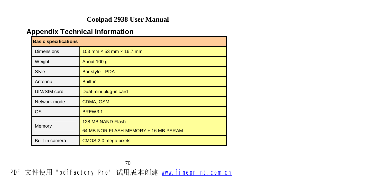# **Appendix Technical Information**

| <b>Basic specifications</b> |                                      |  |  |  |
|-----------------------------|--------------------------------------|--|--|--|
| <b>Dimensions</b>           | 103 mm × 53 mm × 16.7 mm             |  |  |  |
| Weight                      | About 100 g                          |  |  |  |
| Style                       | Bar style---PDA                      |  |  |  |
| Antenna                     | <b>Built-in</b>                      |  |  |  |
| UIM/SIM card                | Dual-mini plug-in card               |  |  |  |
| Network mode                | <b>CDMA, GSM</b>                     |  |  |  |
| <b>OS</b>                   | <b>BREW3.1</b>                       |  |  |  |
| Memory                      | 128 MB NAND Flash                    |  |  |  |
|                             | 64 MB NOR FLASH MEMORY + 16 MB PSRAM |  |  |  |
| Built-in camera             | CMOS 2.0 mega pixels                 |  |  |  |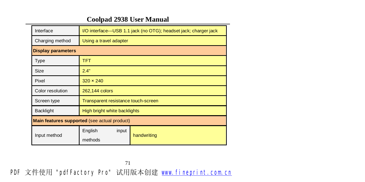| Interface                                    | I/O interface---USB 1.1 jack (no OTG); headset jack; charger jack |             |  |  |
|----------------------------------------------|-------------------------------------------------------------------|-------------|--|--|
| Charging method                              | Using a travel adapter                                            |             |  |  |
| <b>Display parameters</b>                    |                                                                   |             |  |  |
| <b>Type</b>                                  | <b>TFT</b>                                                        |             |  |  |
| Size                                         | 2.4"                                                              |             |  |  |
| Pixel                                        | $320 \times 240$                                                  |             |  |  |
| Color resolution                             | 262,144 colors                                                    |             |  |  |
| Screen type                                  | Transparent resistance touch-screen                               |             |  |  |
| <b>Backlight</b>                             | High bright white backlights                                      |             |  |  |
| Main features supported (see actual product) |                                                                   |             |  |  |
| Input method                                 | English<br>input<br>methods                                       | handwriting |  |  |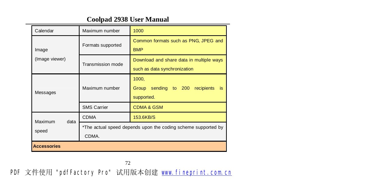| Calendar           | Maximum number                                                         | 1000                                                                     |  |
|--------------------|------------------------------------------------------------------------|--------------------------------------------------------------------------|--|
| Image              | Formats supported                                                      | Common formats such as PNG, JPEG and<br><b>BMP</b>                       |  |
| (Image viewer)     | Transmission mode                                                      | Download and share data in multiple ways<br>such as data synchronization |  |
| Messages           | Maximum number                                                         | 1000,<br>sending to 200<br>Group<br>recipients<br>is.<br>supported.      |  |
|                    | <b>SMS Carrier</b>                                                     | <b>CDMA &amp; GSM</b>                                                    |  |
| Maximum<br>data    | <b>CDMA</b>                                                            | 153.6KB/S                                                                |  |
| speed              | *The actual speed depends upon the coding scheme supported by<br>CDMA. |                                                                          |  |
| <b>Accessories</b> |                                                                        |                                                                          |  |